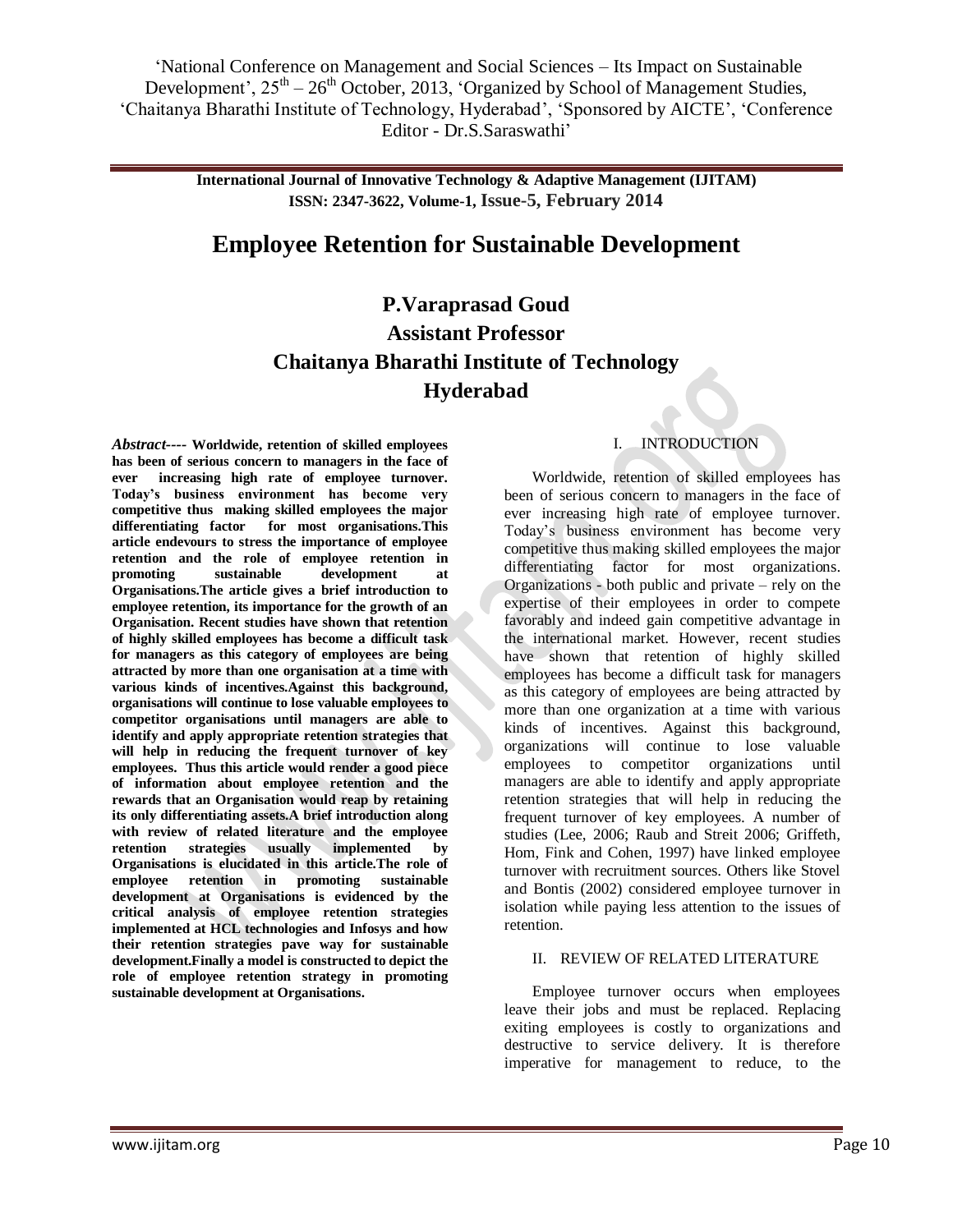> **International Journal of Innovative Technology & Adaptive Management (IJITAM) ISSN: 2347-3622, Volume-1, Issue-5, February 2014**

## **Employee Retention for Sustainable Development**

# **P.Varaprasad Goud Assistant Professor Chaitanya Bharathi Institute of Technology Hyderabad**

*Abstract----* **Worldwide, retention of skilled employees has been of serious concern to managers in the face of ever increasing high rate of employee turnover. Today's business environment has become very competitive thus making skilled employees the major differentiating factor for most organisations.This article endevours to stress the importance of employee retention and the role of employee retention in promoting sustainable development at Organisations.The article gives a brief introduction to employee retention, its importance for the growth of an Organisation. Recent studies have shown that retention of highly skilled employees has become a difficult task for managers as this category of employees are being attracted by more than one organisation at a time with various kinds of incentives.Against this background, organisations will continue to lose valuable employees to competitor organisations until managers are able to identify and apply appropriate retention strategies that will help in reducing the frequent turnover of key employees. Thus this article would render a good piece of information about employee retention and the rewards that an Organisation would reap by retaining its only differentiating assets.A brief introduction along with review of related literature and the employee retention strategies usually implemented by Organisations is elucidated in this article.The role of employee retention in promoting sustainable development at Organisations is evidenced by the critical analysis of employee retention strategies implemented at HCL technologies and Infosys and how their retention strategies pave way for sustainable development.Finally a model is constructed to depict the role of employee retention strategy in promoting sustainable development at Organisations.**

### I. INTRODUCTION

Worldwide, retention of skilled employees has been of serious concern to managers in the face of ever increasing high rate of employee turnover. Today's business environment has become very competitive thus making skilled employees the major differentiating factor for most organizations. Organizations - both public and private – rely on the expertise of their employees in order to compete favorably and indeed gain competitive advantage in the international market. However, recent studies have shown that retention of highly skilled employees has become a difficult task for managers as this category of employees are being attracted by more than one organization at a time with various kinds of incentives. Against this background, organizations will continue to lose valuable employees to competitor organizations until managers are able to identify and apply appropriate retention strategies that will help in reducing the frequent turnover of key employees. A number of studies (Lee, 2006; Raub and Streit 2006; Griffeth, Hom, Fink and Cohen, 1997) have linked employee turnover with recruitment sources. Others like Stovel and Bontis (2002) considered employee turnover in isolation while paying less attention to the issues of retention.

### II. REVIEW OF RELATED LITERATURE

Employee turnover occurs when employees leave their jobs and must be replaced. Replacing exiting employees is costly to organizations and destructive to service delivery. It is therefore imperative for management to reduce, to the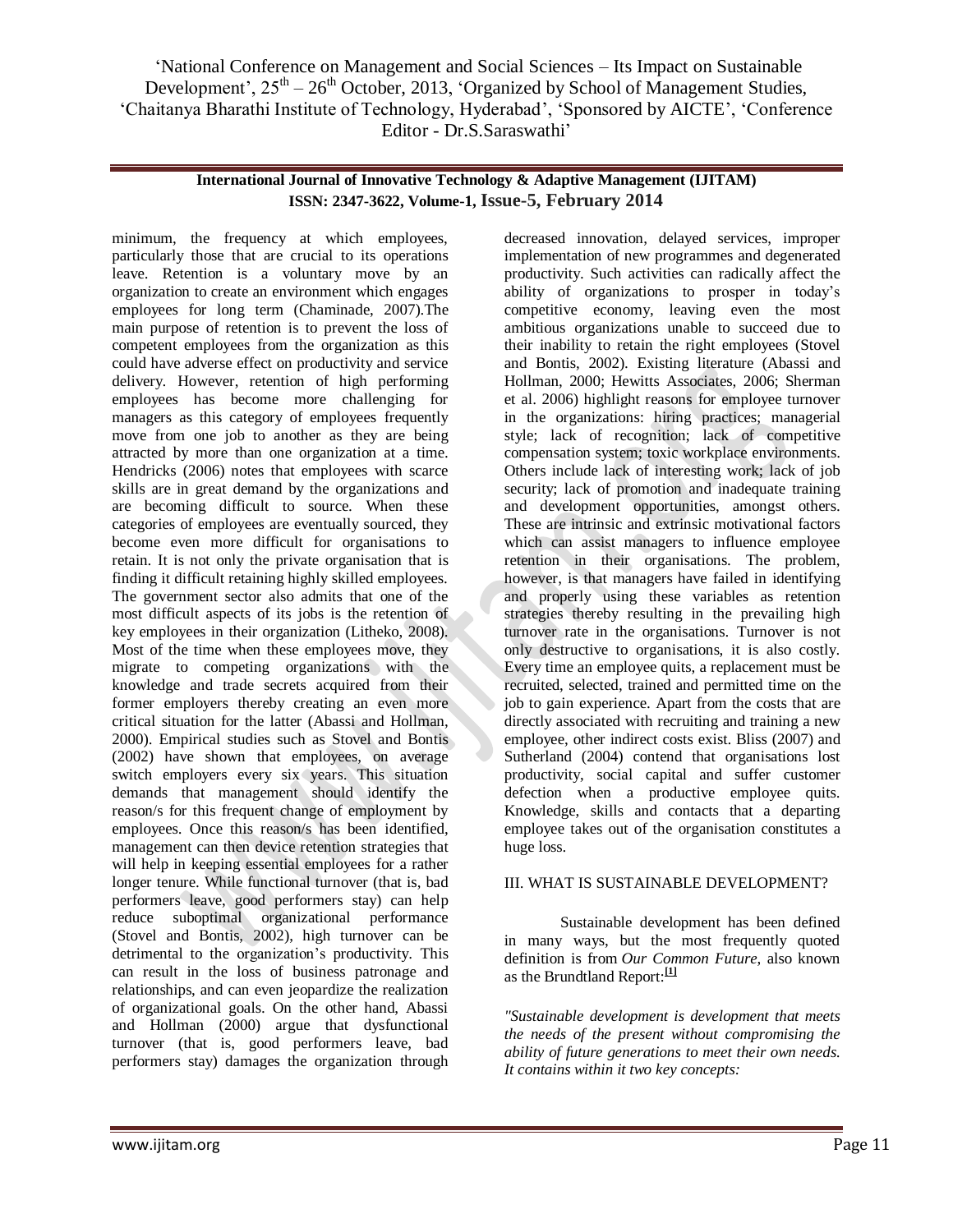### **International Journal of Innovative Technology & Adaptive Management (IJITAM) ISSN: 2347-3622, Volume-1, Issue-5, February 2014**

minimum, the frequency at which employees, particularly those that are crucial to its operations leave. Retention is a voluntary move by an organization to create an environment which engages employees for long term (Chaminade, 2007).The main purpose of retention is to prevent the loss of competent employees from the organization as this could have adverse effect on productivity and service delivery. However, retention of high performing employees has become more challenging for managers as this category of employees frequently move from one job to another as they are being attracted by more than one organization at a time. Hendricks (2006) notes that employees with scarce skills are in great demand by the organizations and are becoming difficult to source. When these categories of employees are eventually sourced, they become even more difficult for organisations to retain. It is not only the private organisation that is finding it difficult retaining highly skilled employees. The government sector also admits that one of the most difficult aspects of its jobs is the retention of key employees in their organization (Litheko, 2008). Most of the time when these employees move, they migrate to competing organizations with the knowledge and trade secrets acquired from their former employers thereby creating an even more critical situation for the latter (Abassi and Hollman, 2000). Empirical studies such as Stovel and Bontis (2002) have shown that employees, on average switch employers every six years. This situation demands that management should identify the reason/s for this frequent change of employment by employees. Once this reason/s has been identified, management can then device retention strategies that will help in keeping essential employees for a rather longer tenure. While functional turnover (that is, bad performers leave, good performers stay) can help reduce suboptimal organizational performance (Stovel and Bontis, 2002), high turnover can be detrimental to the organization's productivity. This can result in the loss of business patronage and relationships, and can even jeopardize the realization of organizational goals. On the other hand, Abassi and Hollman (2000) argue that dysfunctional turnover (that is, good performers leave, bad performers stay) damages the organization through

decreased innovation, delayed services, improper implementation of new programmes and degenerated productivity. Such activities can radically affect the ability of organizations to prosper in today's competitive economy, leaving even the most ambitious organizations unable to succeed due to their inability to retain the right employees (Stovel and Bontis, 2002). Existing literature (Abassi and Hollman, 2000; Hewitts Associates, 2006; Sherman et al. 2006) highlight reasons for employee turnover in the organizations: hiring practices; managerial style; lack of recognition; lack of competitive compensation system; toxic workplace environments. Others include lack of interesting work; lack of job security; lack of promotion and inadequate training and development opportunities, amongst others. These are intrinsic and extrinsic motivational factors which can assist managers to influence employee retention in their organisations. The problem, however, is that managers have failed in identifying and properly using these variables as retention strategies thereby resulting in the prevailing high turnover rate in the organisations. Turnover is not only destructive to organisations, it is also costly. Every time an employee quits, a replacement must be recruited, selected, trained and permitted time on the job to gain experience. Apart from the costs that are directly associated with recruiting and training a new employee, other indirect costs exist. Bliss (2007) and Sutherland (2004) contend that organisations lost productivity, social capital and suffer customer defection when a productive employee quits. Knowledge, skills and contacts that a departing employee takes out of the organisation constitutes a huge loss.

### III. WHAT IS SUSTAINABLE DEVELOPMENT?

Sustainable development has been defined in many ways, but the most frequently quoted definition is from *Our Common Future*, also known as the Brundtland Report:**[\[1\]](http://www.iisd.org/sd/#one)**

*"Sustainable development is development that meets the needs of the present without compromising the ability of future generations to meet their own needs. It contains within it two key concepts:*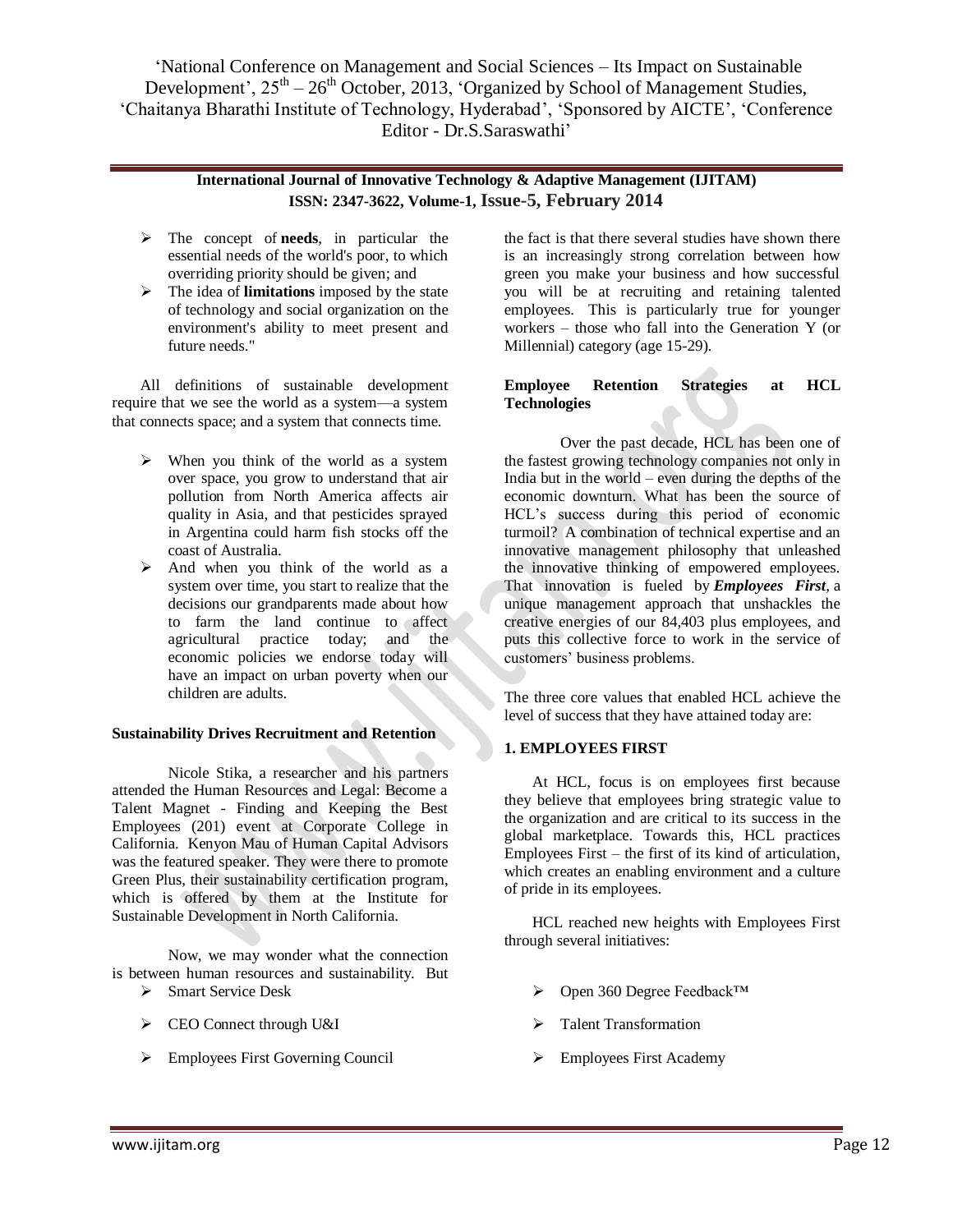### **International Journal of Innovative Technology & Adaptive Management (IJITAM) ISSN: 2347-3622, Volume-1, Issue-5, February 2014**

- The concept of **needs**, in particular the essential needs of the world's poor, to which overriding priority should be given; and
- The idea of **limitations** imposed by the state of technology and social organization on the environment's ability to meet present and future needs."

All definitions of sustainable development require that we see the world as a system—a system that connects space; and a system that connects time.

- $\triangleright$  When you think of the world as a system over space, you grow to understand that air pollution from North America affects air quality in Asia, and that pesticides sprayed in Argentina could harm fish stocks off the coast of Australia.
- $\triangleright$  And when you think of the world as a system over time, you start to realize that the decisions our grandparents made about how to farm the land continue to affect agricultural practice today; and the economic policies we endorse today will have an impact on urban poverty when our children are adults.

### **Sustainability Drives Recruitment and Retention**

Nicole Stika, a researcher and his partners attended the Human Resources and Legal: Become a Talent Magnet - Finding and Keeping the Best Employees (201) event at Corporate College in California. Kenyon Mau of Human Capital Advisors was the featured speaker. They were there to promote Green Plus, their sustainability certification program, which is offered by them at the Institute for Sustainable Development in North California.

Now, we may wonder what the connection is between human resources and sustainability. But

- Smart Service Desk
- > CEO Connect through U&I
- $\triangleright$  Employees First Governing Council

the fact is that there several studies have shown there is an increasingly strong correlation between how green you make your business and how successful you will be at recruiting and retaining talented employees. This is particularly true for younger workers – those who fall into the Generation Y (or Millennial) category (age 15-29).

### **Employee Retention Strategies at HCL Technologies**

Over the past decade, HCL has been one of the fastest growing technology companies not only in India but in the world – even during the depths of the economic downturn. What has been the source of HCL's success during this period of economic turmoil? A combination of technical expertise and an innovative management philosophy that unleashed the innovative thinking of empowered employees. That innovation is fueled by *Employees First,* a unique management approach that unshackles the creative energies of our 84,403 plus employees, and puts this collective force to work in the service of customers' business problems.

The three core values that enabled HCL achieve the level of success that they have attained today are:

### **1. EMPLOYEES FIRST**

At HCL, focus is on employees first because they believe that employees bring strategic value to the organization and are critical to its success in the global marketplace. Towards this, HCL practices Employees First – the first of its kind of articulation, which creates an enabling environment and a culture of pride in its employees.

HCL reached new heights with Employees First through several initiatives:

- Open 360 Degree Feedback™
- Talent Transformation
- Employees First Academy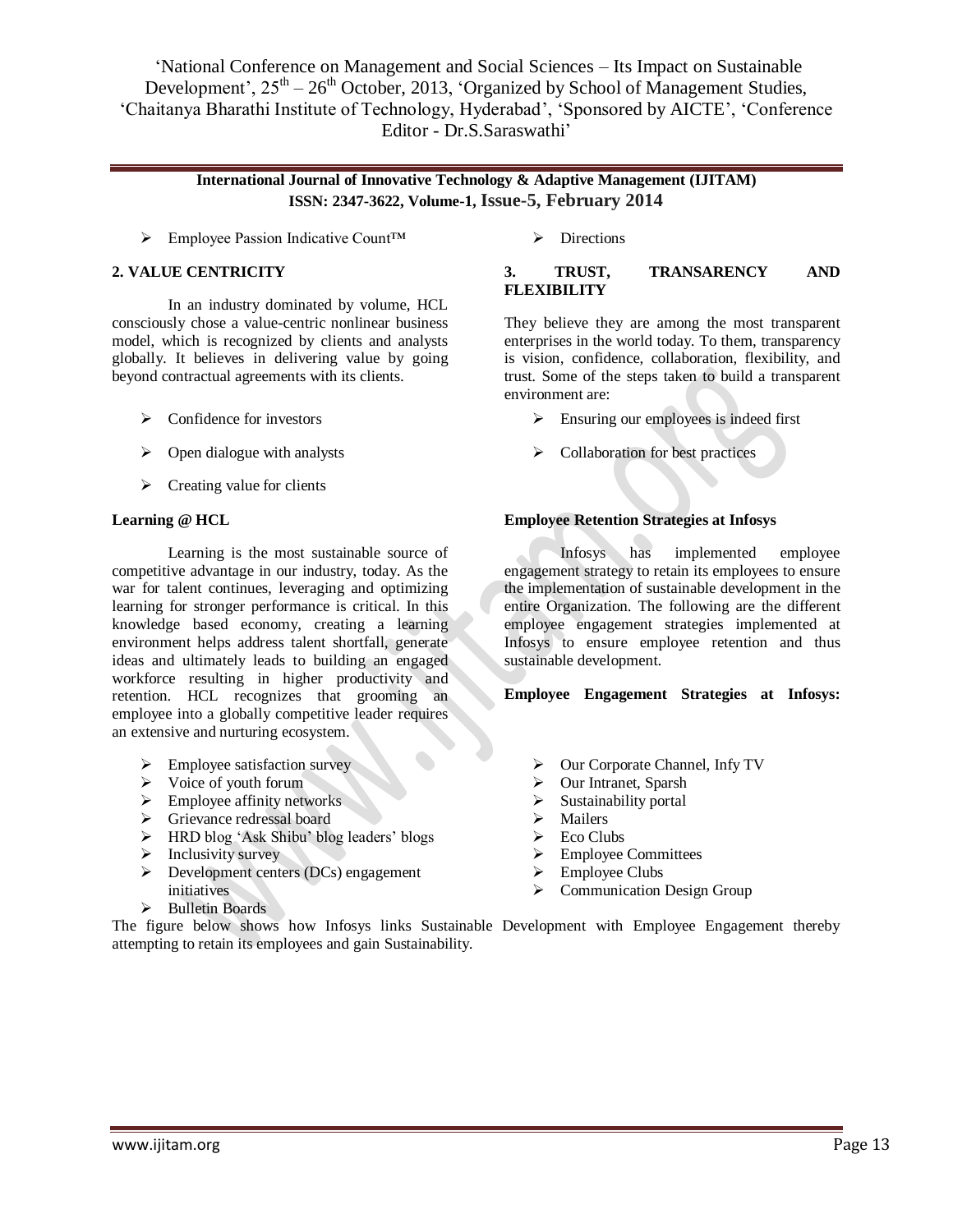### **International Journal of Innovative Technology & Adaptive Management (IJITAM) ISSN: 2347-3622, Volume-1, Issue-5, February 2014**

Employee Passion Indicative Count™ Directions

### **2. VALUE CENTRICITY**

In an industry dominated by volume, HCL consciously chose a value-centric nonlinear business model, which is recognized by clients and analysts globally. It believes in delivering value by going beyond contractual agreements with its clients.

- $\triangleright$  Confidence for investors
- $\triangleright$  Open dialogue with analysts
- $\triangleright$  Creating value for clients

#### **Learning @ HCL**

Learning is the most sustainable source of competitive advantage in our industry, today. As the war for talent continues, leveraging and optimizing learning for stronger performance is critical. In this knowledge based economy, creating a learning environment helps address talent shortfall, generate ideas and ultimately leads to building an engaged workforce resulting in higher productivity and retention. HCL recognizes that grooming an employee into a globally competitive leader requires an extensive and nurturing ecosystem.

- $\triangleright$  Employee satisfaction survey
- $\triangleright$  Voice of youth forum
- $\triangleright$  Employee affinity networks
- Grievance redressal board
- > HRD blog 'Ask Shibu' blog leaders' blogs
- $\triangleright$  Inclusivity survey
- $\triangleright$  Development centers (DCs) engagement initiatives
- > Bulletin Boards

### **3. TRUST, TRANSARENCY AND FLEXIBILITY**

They believe they are among the most transparent enterprises in the world today. To them, transparency is vision, confidence, collaboration, flexibility, and trust. Some of the steps taken to build a transparent environment are:

- $\triangleright$  Ensuring our employees is indeed first
- $\triangleright$  Collaboration for best practices

#### **Employee Retention Strategies at Infosys**

Infosys has implemented employee engagement strategy to retain its employees to ensure the implementation of sustainable development in the entire Organization. The following are the different employee engagement strategies implemented at Infosys to ensure employee retention and thus sustainable development.

#### **Employee Engagement Strategies at Infosys:**

- Our Corporate Channel, Infy TV
- > Our Intranet, Sparsh
- $\triangleright$  Sustainability portal
- $\triangleright$  Mailers
- Eco Clubs
- Employee Committees
- Employee Clubs
- > Communication Design Group

The figure below shows how Infosys links Sustainable Development with Employee Engagement thereby attempting to retain its employees and gain Sustainability.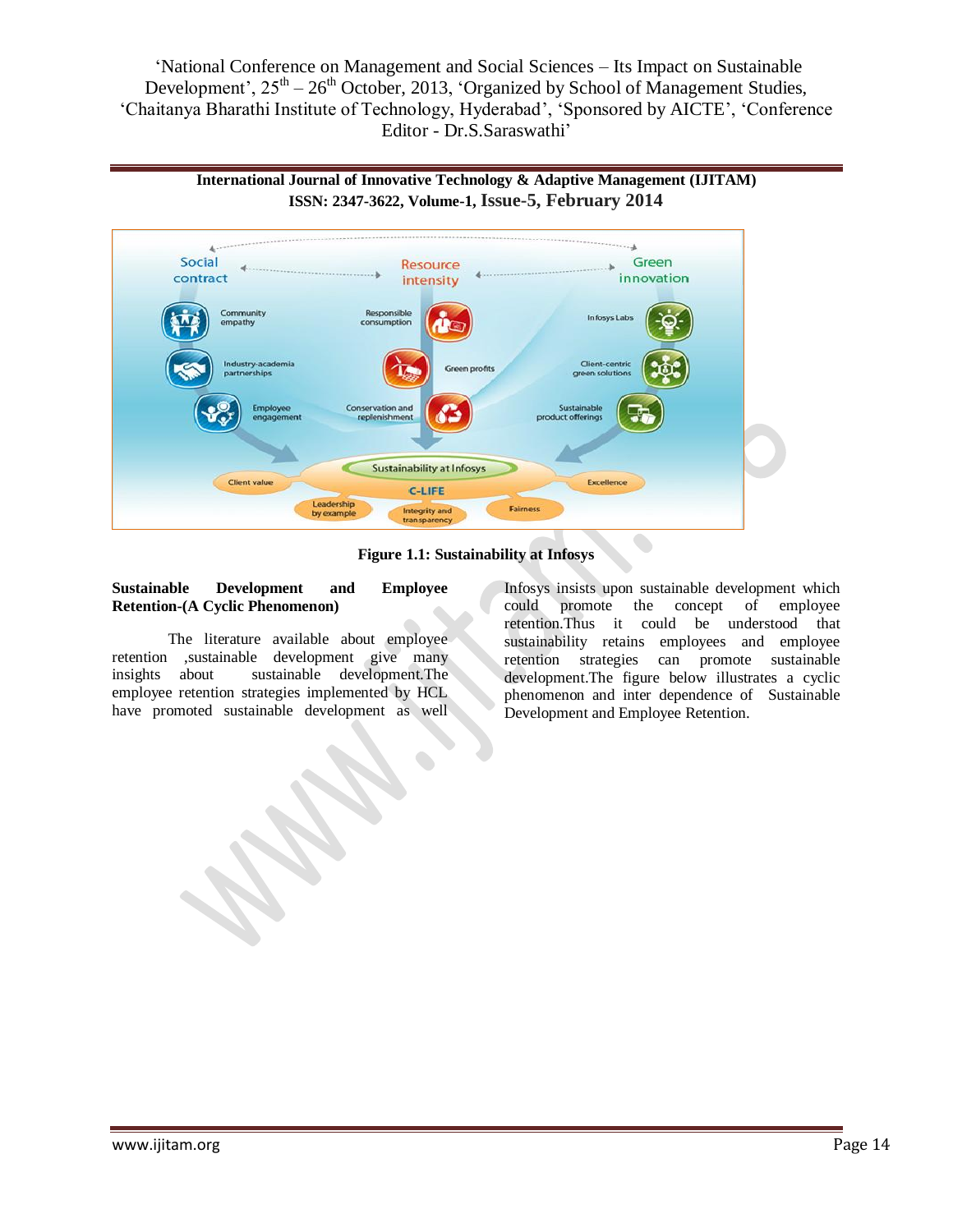



**Figure 1.1: Sustainability at Infosys**

### **Sustainable Development and Employee Retention-(A Cyclic Phenomenon)**

The literature available about employee retention ,sustainable development give many insights about sustainable development.The employee retention strategies implemented by HCL have promoted sustainable development as well Infosys insists upon sustainable development which could promote the concept of employee retention.Thus it could be understood that sustainability retains employees and employee retention strategies can promote sustainable development.The figure below illustrates a cyclic phenomenon and inter dependence of Sustainable Development and Employee Retention.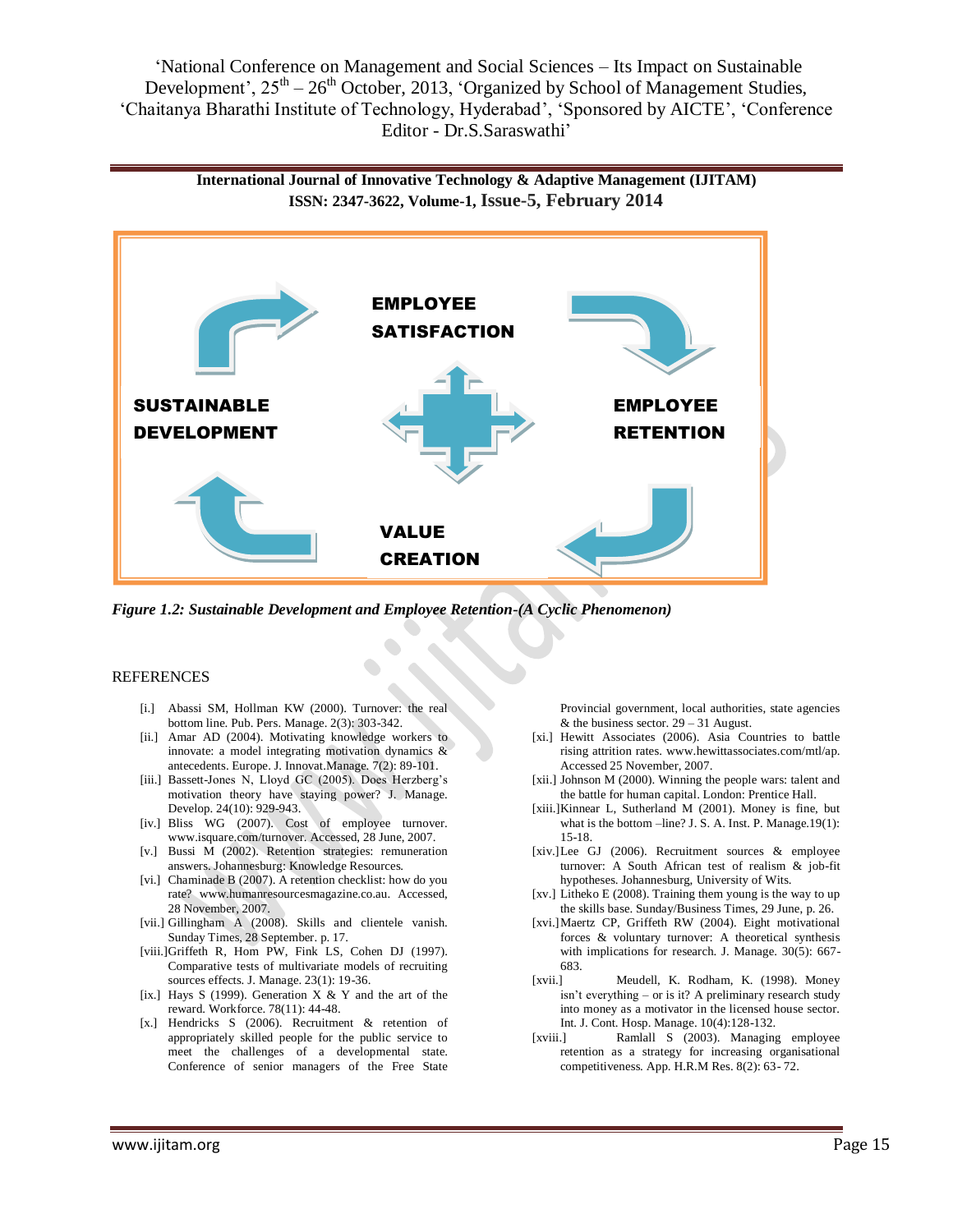**International Journal of Innovative Technology & Adaptive Management (IJITAM) ISSN: 2347-3622, Volume-1, Issue-5, February 2014**



*Figure 1.2: Sustainable Development and Employee Retention-(A Cyclic Phenomenon)*

#### REFERENCES

- [i.] Abassi SM, Hollman KW (2000). Turnover: the real bottom line. Pub. Pers. Manage. 2(3): 303-342.
- [ii.] Amar AD (2004). Motivating knowledge workers to innovate: a model integrating motivation dynamics & antecedents. Europe. J. Innovat.Manage. 7(2): 89-101.
- [iii.] Bassett-Jones N, Lloyd GC (2005). Does Herzberg's motivation theory have staying power? J. Manage. Develop. 24(10): 929-943.
- [iv.] Bliss WG (2007). Cost of employee turnover. www.isquare.com/turnover. Accessed, 28 June, 2007.
- [v.] Bussi M (2002). Retention strategies: remuneration answers. Johannesburg: Knowledge Resources.
- [vi.] Chaminade B (2007). A retention checklist: how do you rate? www.humanresourcesmagazine.co.au. Accessed, 28 November, 2007.
- [vii.] Gillingham A (2008). Skills and clientele vanish. Sunday Times, 28 September. p. 17.
- [viii.]Griffeth R, Hom PW, Fink LS, Cohen DJ (1997). Comparative tests of multivariate models of recruiting sources effects. J. Manage. 23(1): 19-36.
- [ix.] Hays S (1999). Generation  $X & Y$  and the art of the reward. Workforce. 78(11): 44-48.
- [x.] Hendricks S (2006). Recruitment & retention of appropriately skilled people for the public service to meet the challenges of a developmental state. Conference of senior managers of the Free State

Provincial government, local authorities, state agencies & the business sector.  $29 - 31$  August.

- [xi.] Hewitt Associates (2006). Asia Countries to battle rising attrition rates. www.hewittassociates.com/mtl/ap. Accessed 25 November, 2007.
- [xii.] Johnson M (2000). Winning the people wars: talent and the battle for human capital. London: Prentice Hall.
- [xiii.]Kinnear L, Sutherland M (2001). Money is fine, but what is the bottom –line? J. S. A. Inst. P. Manage.19(1): 15-18.
- [xiv.]Lee GJ (2006). Recruitment sources & employee turnover: A South African test of realism & job-fit hypotheses. Johannesburg, University of Wits.
- [xv.] Litheko E (2008). Training them young is the way to up the skills base. Sunday/Business Times, 29 June, p. 26.
- [xvi.]Maertz CP, Griffeth RW (2004). Eight motivational forces & voluntary turnover: A theoretical synthesis with implications for research. J. Manage. 30(5): 667- 683.
- [xvii.] Meudell, K. Rodham, K. (1998). Money isn't everything – or is it? A preliminary research study into money as a motivator in the licensed house sector. Int. J. Cont. Hosp. Manage. 10(4):128-132.
- [xviii.] Ramlall S (2003). Managing employee retention as a strategy for increasing organisational competitiveness. App. H.R.M Res. 8(2): 63- 72.